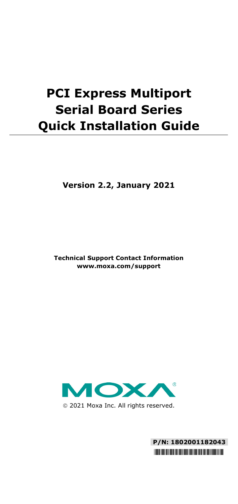# **PCI Express Multiport Serial Board Series Quick Installation Guide**

**Version 2.2, January 2021**

**Technical Support Contact Information www.moxa.com/support**



2021 Moxa Inc. All rights reserved.

**P/N: 1802001182043** \*1802001182043\*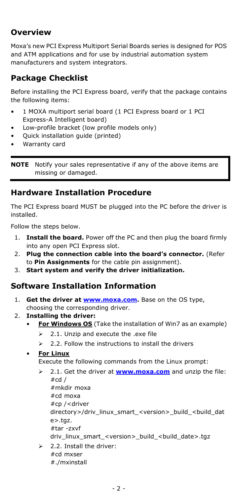# **Overview**

Moxa's new PCI Express Multiport Serial Boards series is designed for POS and ATM applications and for use by industrial automation system manufacturers and system integrators.

# **Package Checklist**

Before installing the PCI Express board, verify that the package contains the following items:

- 1 MOXA multiport serial board (1 PCI Express board or 1 PCI Express-A Intelligent board)
- Low-profile bracket (low profile models only)
- Quick installation guide (printed)
- Warranty card

**NOTE** Notify your sales representative if any of the above items are missing or damaged.

# **Hardware Installation Procedure**

The PCI Express board MUST be plugged into the PC before the driver is installed.

Follow the steps below.

- 1. **Install the board.** Power off the PC and then plug the board firmly into any open PCI Express slot.
- 2. **Plug the connection cable into the board's connector.** (Refer to **Pin Assignments** for the cable pin assignment).
- 3. **Start system and verify the driver initialization.**

# **Software Installation Information**

- 1. **Get the driver a[t www.moxa.com.](http://www.moxa.com/)** Base on the OS type, choosing the corresponding driver.
- 2. **Installing the driver:**
	- **For Windows OS** (Take the installation of Win7 as an example)
		- $\geq$  2.1. Unzip and execute the .exe file
		- $\geq$  2.2. Follow the instructions to install the drivers

### **For Linux**

Execute the following commands from the Linux prompt:

- 2.1. Get the driver at **[www.moxa.com](http://www.moxa.com/)** and unzip the file:  $#cd/$ #mkdir moxa #cd moxa #cp /<driver directory>/driv\_linux\_smart\_<version>\_build\_<build\_dat  $e$  $>$ .taz. #tar -zxvf driv\_linux\_smart\_<version>\_build\_<build\_date>.tgz
- $\geq$  2.2. Install the driver: #cd mxser #./mxinstall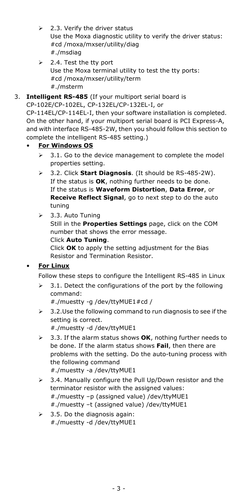- $\geq$  2.3. Verify the driver status Use the Moxa diagnostic utility to verify the driver status: #cd /moxa/mxser/utility/diag #./msdiag
- $\geq$  2.4. Test the tty port Use the Moxa terminal utility to test the tty ports: #cd /moxa/mxser/utility/term #./msterm
- 3. **Intelligent RS-485** (If your multiport serial board is

CP-102E/CP-102EL, CP-132EL/CP-132EL-I, or CP-114EL/CP-114EL-I, then your software installation is completed. On the other hand, if your multiport serial board is PCI Express-A, and with interface RS-485-2W, then you should follow this section to complete the intelligent RS-485 setting.)

## • **For Windows OS**

- 3.1. Go to the device management to complete the model properties setting.
- 3.2. Click **Start Diagnosis**. (It should be RS-485-2W). If the status is **OK**, nothing further needs to be done. If the status is **Waveform Distortion**, **Data Error**, or **Receive Reflect Signal**, go to next step to do the auto tuning
- $\geq$  3.3. Auto Tuning Still in the **Properties Settings** page, click on the COM number that shows the error message. Click **Auto Tuning**.

Click **OK** to apply the setting adjustment for the Bias Resistor and Termination Resistor.

## **For Linux**

Follow these steps to configure the Intelligent RS-485 in Linux

 $\geq$  3.1. Detect the configurations of the port by the following command:

#./muestty -g /dev/ttyMUE1#cd /

 $\geq$  3.2. Use the following command to run diagnosis to see if the setting is correct.

#./muestty -d /dev/ttyMUE1

- 3.3. If the alarm status shows **OK**, nothing further needs to be done. If the alarm status shows **Fail**, then there are problems with the setting. Do the auto-tuning process with the following command #./muestty -a /dev/ttyMUE1
- $\geq$  3.4. Manually configure the Pull Up/Down resistor and the terminator resistor with the assigned values: #./muestty –p (assigned value) /dev/ttyMUE1 #./muestty –t (assigned value) /dev/ttyMUE1
- $\geq$  3.5. Do the diagnosis again: #./muestty -d /dev/ttyMUE1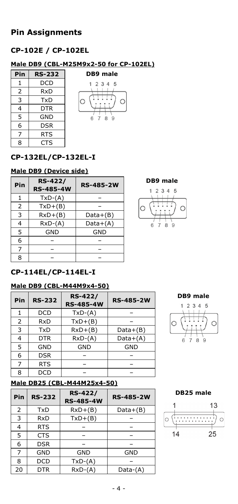# **Pin Assignments**

# **CP-102E / CP-102EL**

## **Male DB9 (CBL-M25M9x2-50 for CP-102EL)**

| RS-232 |
|--------|
| DCD    |
| RxD    |
| TxD    |
| DTR    |
| GND    |
| DSR    |
| RTS    |
| CTS    |
|        |



# **CP-132EL/CP-132EL-I**

## **Male DB9 (Device side)**

| Pin            | <b>RS-422/</b><br><b>RS-485-4W</b> | <b>RS-485-2W</b> |
|----------------|------------------------------------|------------------|
| 1              | $TxD-(A)$                          |                  |
| $\overline{2}$ | $TxD+(B)$                          |                  |
| 3              | $RxD+(B)$                          | $Data+(B)$       |
| 4              | $RxD-(A)$                          | $Data+(A)$       |
| 5              | GND                                | GND              |
| 6              |                                    |                  |
| 7              |                                    |                  |
| 8              |                                    |                  |

**DB9 male**



# **CP-114EL/CP-114EL-I**

### **Male DB9 (CBL-M44M9x4-50)**

| Pin | <b>RS-232</b> | <b>RS-422/</b><br><b>RS-485-4W</b> | <b>RS-485-2W</b> |
|-----|---------------|------------------------------------|------------------|
| 1   | DCD           | $TxD-(A)$                          |                  |
| 2   | RxD           | $TxD+(B)$                          |                  |
| 3   | TxD           | $RxD+(B)$                          | $Data+(B)$       |
| 4   | <b>DTR</b>    | $RxD-(A)$                          | Data+(A)         |
| 5   | <b>GND</b>    | <b>GND</b>                         | <b>GND</b>       |
| 6   | <b>DSR</b>    |                                    |                  |
| 7   | <b>RTS</b>    |                                    |                  |
| 8   | DCD           |                                    |                  |





## **Male DB25 (CBL-M44M25x4-50)**

| Pin            | <b>RS-232</b> | <b>RS-422/</b><br><b>RS-485-4W</b> | <b>RS-485-2W</b> |
|----------------|---------------|------------------------------------|------------------|
| $\overline{2}$ | TxD           | $RxD+(B)$                          | $Data+(B)$       |
| 3              | RxD           | $TxD+(B)$                          |                  |
| 4              | <b>RTS</b>    |                                    |                  |
| 5              | <b>CTS</b>    |                                    |                  |
| 6              | <b>DSR</b>    |                                    |                  |
| 7              | <b>GND</b>    | GND                                | GND              |
| 8              | <b>DCD</b>    | $TxD-(A)$                          |                  |
| 20             | <b>DTR</b>    | $RxD-(A)$                          | Data-(A)         |

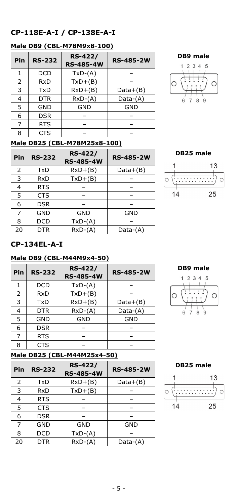## **CP-118E-A-I / CP-138E-A-I**

## **Male DB9 (CBL-M78M9x8-100)**

| Pin | <b>RS-232</b> | <b>RS-422/</b><br><b>RS-485-4W</b> | <b>RS-485-2W</b> |
|-----|---------------|------------------------------------|------------------|
| 1   | <b>DCD</b>    | $TxD-(A)$                          |                  |
| 2   | RxD           | $TxD+(B)$                          |                  |
| 3   | <b>TxD</b>    | $RxD+(B)$                          | $Data+(B)$       |
| 4   | <b>DTR</b>    | $RxD-(A)$                          | $Data-(A)$       |
| 5   | <b>GND</b>    | <b>GND</b>                         | GND              |
| 6   | <b>DSR</b>    |                                    |                  |
| 7   | <b>RTS</b>    |                                    |                  |
| 8   | CTS           |                                    |                  |

#### **DB9 male**



## **Male DB25 (CBL-M78M25x8-100)**

| Pin | <b>RS-232</b> | <b>RS-422/</b><br><b>RS-485-4W</b> | <b>RS-485-2W</b> |
|-----|---------------|------------------------------------|------------------|
| 2   | TxD           | $RxD+(B)$                          | $Data+(B)$       |
| 3   | RxD           | $TxD+(B)$                          |                  |
| 4   | <b>RTS</b>    |                                    |                  |
| 5   | <b>CTS</b>    |                                    |                  |
| 6   | <b>DSR</b>    |                                    |                  |
| 7   | GND           | GND                                | GND              |
| 8   | <b>DCD</b>    | $TxD-(A)$                          |                  |
| 20  | <b>DTR</b>    | $RxD-(A)$                          | $Data-(A)$       |



## **CP-134EL-A-I**

### **Male DB9 (CBL-M44M9x4-50)**

| Pin | <b>RS-232</b> | <b>RS-422/</b><br><b>RS-485-4W</b> | <b>RS-485-2W</b> |
|-----|---------------|------------------------------------|------------------|
|     | <b>DCD</b>    | $TxD-(A)$                          |                  |
| 2   | RxD           | $TxD+(B)$                          |                  |
| 3   | TxD           | $RxD+(B)$                          | $Data+(B)$       |
| 4   | <b>DTR</b>    | $RxD-(A)$                          | $Data-(A)$       |
| 5   | <b>GND</b>    | <b>GND</b>                         | <b>GND</b>       |
| 6   | <b>DSR</b>    |                                    |                  |
|     | <b>RTS</b>    |                                    |                  |
| 8   | <b>CTS</b>    |                                    |                  |





## **Male DB25 (CBL-M44M25x4-50)**

| Pin            | <b>RS-232</b> | <b>RS-422/</b><br><b>RS-485-4W</b> | <b>RS-485-2W</b> |
|----------------|---------------|------------------------------------|------------------|
| $\overline{2}$ | TxD           | $RxD+(B)$                          | $Data+(B)$       |
| 3              | RxD           | $TxD+(B)$                          |                  |
| 4              | <b>RTS</b>    |                                    |                  |
| 5              | <b>CTS</b>    |                                    |                  |
| 6              | <b>DSR</b>    |                                    |                  |
| 7              | <b>GND</b>    | <b>GND</b>                         | <b>GND</b>       |
| 8              | <b>DCD</b>    | $TxD-(A)$                          |                  |
| 20             | <b>DTR</b>    | $RxD-(A)$                          | Data-(A)         |